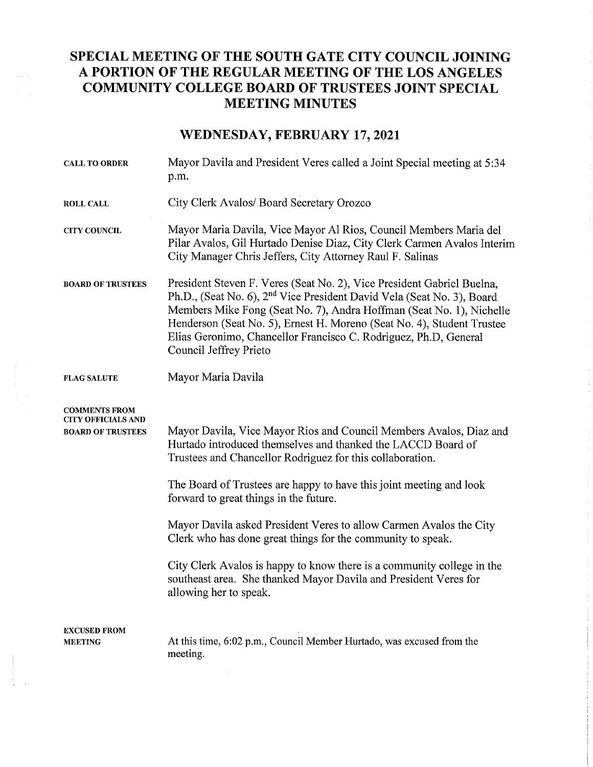## SPECIAL MEETING OF THE SOUTH GATE CITY COUNCIL JOINING A PORTION OF THE REGULAR MEETING OF THE LOS ANGELES COMMUNITY COLLEGE BOARD OF TRUSTEES JOINT SPECIAL MEETING MINUTES

## WEDNESDAY, FEBRUARY 17, 2021

| <b>CALL TO ORDER</b>                                                          | Mayor Davila and President Veres called a Joint Special meeting at 5:34<br>p.m.                                                                                                                                                                                                                                                                                                                                                                                                                                                                                                                                               |
|-------------------------------------------------------------------------------|-------------------------------------------------------------------------------------------------------------------------------------------------------------------------------------------------------------------------------------------------------------------------------------------------------------------------------------------------------------------------------------------------------------------------------------------------------------------------------------------------------------------------------------------------------------------------------------------------------------------------------|
| <b>ROLL CALL</b>                                                              | City Clerk Avalos/ Board Secretary Orozco                                                                                                                                                                                                                                                                                                                                                                                                                                                                                                                                                                                     |
| <b>CITY COUNCIL</b>                                                           | Mayor Maria Davila, Vice Mayor Al Rios, Council Members Maria del<br>Pilar Avalos, Gil Hurtado Denise Diaz, City Clerk Carmen Avalos Interim<br>City Manager Chris Jeffers, City Attorney Raul F. Salinas                                                                                                                                                                                                                                                                                                                                                                                                                     |
| <b>BOARD OF TRUSTEES</b>                                                      | President Steven F. Veres (Seat No. 2), Vice President Gabriel Buelna,<br>Ph.D., (Seat No. 6), 2 <sup>nd</sup> Vice President David Vela (Seat No. 3), Board<br>Members Mike Fong (Seat No. 7), Andra Hoffman (Seat No. 1), Nichelle<br>Henderson (Seat No. 5), Ernest H. Moreno (Seat No. 4), Student Trustee<br>Elias Geronimo, Chancellor Francisco C. Rodriguez, Ph.D, General<br>Council Jeffrey Prieto                                                                                                                                                                                                                  |
| <b>FLAG SALUTE</b>                                                            | Mayor Maria Davila                                                                                                                                                                                                                                                                                                                                                                                                                                                                                                                                                                                                            |
| <b>COMMENTS FROM</b><br><b>CITY OFFICIALS AND</b><br><b>BOARD OF TRUSTEES</b> | Mayor Davila, Vice Mayor Rios and Council Members Avalos, Diaz and<br>Hurtado introduced themselves and thanked the LACCD Board of<br>Trustees and Chancellor Rodriguez for this collaboration.<br>The Board of Trustees are happy to have this joint meeting and look<br>forward to great things in the future.<br>Mayor Davila asked President Veres to allow Carmen Avalos the City<br>Clerk who has done great things for the community to speak.<br>City Clerk Avalos is happy to know there is a community college in the<br>southeast area. She thanked Mayor Davila and President Veres for<br>allowing her to speak. |
| <b>EXCUSED FROM</b><br><b>MEETING</b>                                         | At this time, 6:02 p.m., Council Member Hurtado, was excused from the<br>meeting.                                                                                                                                                                                                                                                                                                                                                                                                                                                                                                                                             |